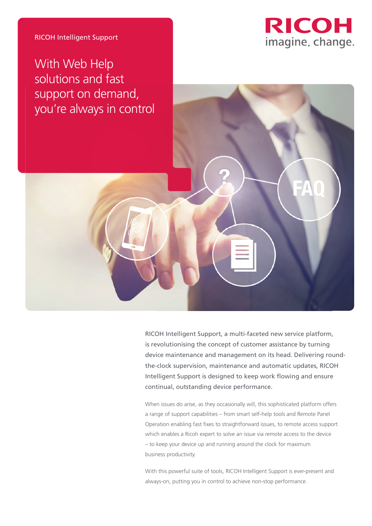



RICOH Intelligent Support, a multi-faceted new service platform, is revolutionising the concept of customer assistance by turning device maintenance and management on its head. Delivering roundthe-clock supervision, maintenance and automatic updates, RICOH Intelligent Support is designed to keep work flowing and ensure continual, outstanding device performance.

When issues do arise, as they occasionally will, this sophisticated platform offers a range of support capabilities – from smart self-help tools and Remote Panel Operation enabling fast fixes to straightforward issues, to remote access support which enables a Ricoh expert to solve an issue via remote access to the device – to keep your device up and running around the clock for maximum business productivity.

With this powerful suite of tools, RICOH Intelligent Support is ever-present and always-on, putting you in control to achieve non-stop performance.